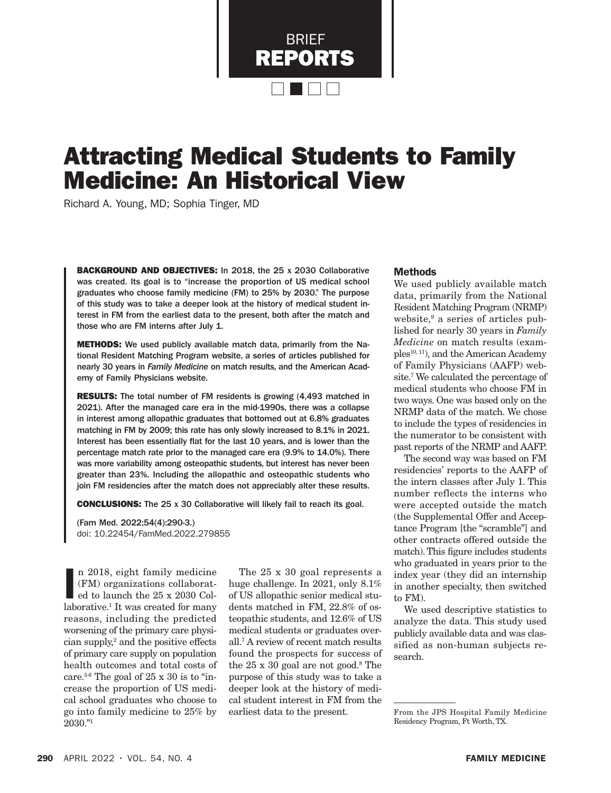BRIEF REPORTS  $\blacksquare$ 

# Attracting Medical Students to Family Medicine: An Historical View

Richard A. Young, MD; Sophia Tinger, MD

BACKGROUND AND OBJECTIVES: In 2018, the 25 x 2030 Collaborative was created. Its goal is to "increase the proportion of US medical school graduates who choose family medicine (FM) to 25% by 2030." The purpose of this study was to take a deeper look at the history of medical student interest in FM from the earliest data to the present, both after the match and those who are FM interns after July 1.

METHODS: We used publicly available match data, primarily from the National Resident Matching Program website, a series of articles published for nearly 30 years in *Family Medicine* on match results, and the American Academy of Family Physicians website.

**RESULTS:** The total number of FM residents is growing (4,493 matched in 2021). After the managed care era in the mid-1990s, there was a collapse in interest among allopathic graduates that bottomed out at 6.8% graduates matching in FM by 2009; this rate has only slowly increased to 8.1% in 2021. Interest has been essentially flat for the last 10 years, and is lower than the percentage match rate prior to the managed care era (9.9% to 14.0%). There was more variability among osteopathic students, but interest has never been greater than 23%. Including the allopathic and osteopathic students who join FM residencies after the match does not appreciably alter these results.

CONCLUSIONS: The 25 x 30 Collaborative will likely fail to reach its goal.

(Fam Med. 2022;54(4):290-3.) doi: 10.22454/FamMed.2022.279855

n 2018, eight family medicine (FM) organizations collaborated to launch the  $25 \times 2030$  Collaborative.<sup>1</sup> It was created for many n 2018, eight family medicine (FM) organizations collaborated to launch the 25 x 2030 Colreasons, including the predicted worsening of the primary care physician supply,2 and the positive effects of primary care supply on population health outcomes and total costs of care.<sup>3-6</sup> The goal of  $25 \times 30$  is to "increase the proportion of US medical school graduates who choose to go into family medicine to 25% by 2030."1

The 25 x 30 goal represents a huge challenge. In 2021, only 8.1% of US allopathic senior medical students matched in FM, 22.8% of osteopathic students, and 12.6% of US medical students or graduates overall.7 A review of recent match results found the prospects for success of the 25 x 30 goal are not good.<sup>8</sup> The purpose of this study was to take a deeper look at the history of medical student interest in FM from the earliest data to the present.

### Methods

We used publicly available match data, primarily from the National Resident Matching Program (NRMP) website,<sup>9</sup> a series of articles published for nearly 30 years in *Family Medicine* on match results (examples10, 11), and the American Academy of Family Physicians (AAFP) website.7 We calculated the percentage of medical students who choose FM in two ways. One was based only on the NRMP data of the match. We chose to include the types of residencies in the numerator to be consistent with past reports of the NRMP and AAFP.

The second way was based on FM residencies' reports to the AAFP of the intern classes after July 1. This number reflects the interns who were accepted outside the match (the Supplemental Offer and Acceptance Program [the "scramble"] and other contracts offered outside the match). This figure includes students who graduated in years prior to the index year (they did an internship in another specialty, then switched to FM).

We used descriptive statistics to analyze the data. This study used publicly available data and was classified as non-human subjects research.

From the JPS Hospital Family Medicine Residency Program, Ft Worth, TX.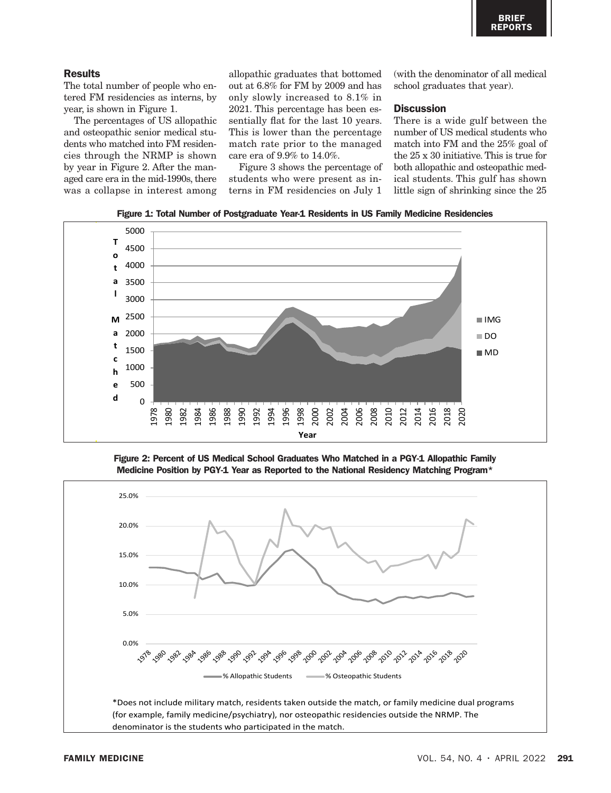## **Results**

The total number of people who entered FM residencies as interns, by year, is shown in Figure 1.

The percentages of US allopathic and osteopathic senior medical students who matched into FM residencies through the NRMP is shown by year in Figure 2. After the managed care era in the mid-1990s, there was a collapse in interest among allopathic graduates that bottomed out at 6.8% for FM by 2009 and has only slowly increased to 8.1% in 2021. This percentage has been essentially flat for the last 10 years. This is lower than the percentage match rate prior to the managed care era of 9.9% to 14.0%.

Figure 3 shows the percentage of students who were present as interns in FM residencies on July 1

(with the denominator of all medical school graduates that year).

## **Discussion**

There is a wide gulf between the number of US medical students who match into FM and the 25% goal of the 25 x 30 initiative. This is true for both allopathic and osteopathic medical students. This gulf has shown little sign of shrinking since the 25

Figure 1: Total Number of Postgraduate Year-1 Residents in US Family Medicine Residencies



Figure 2: Percent of US Medical School Graduates Who Matched in a PGY-1 Allopathic Family Position by PGY-1 Year as Reported to the National Residency Matching Program\* Medicine Position by PGY-1 Year as Reported to the National Residency Matching Program\*

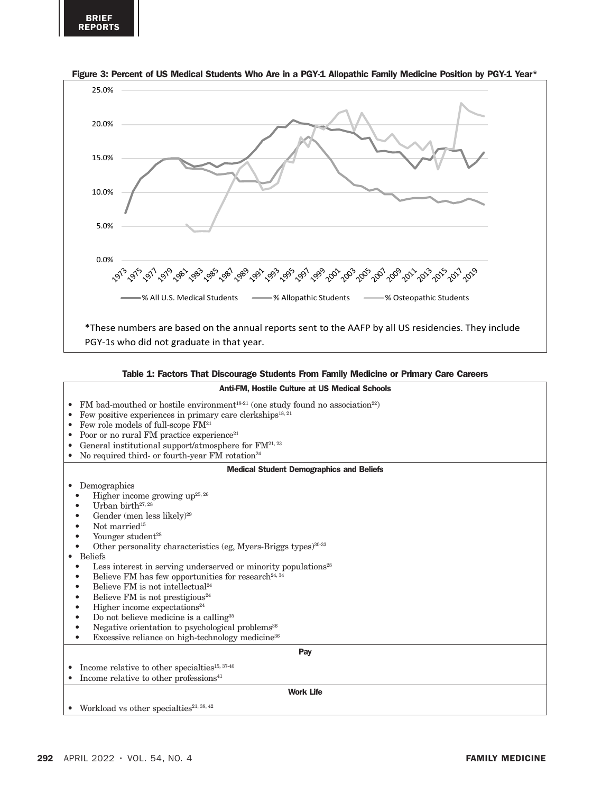

#### Figure 3: Percent of US Medical Students Who Are in a PGY-1 Allopathic Family Medicine Position by PGY-1 Year\*

#### Table 1: Factors That Discourage Students From Family Medicine or Primary Care Careers

#### Anti-FM, Hostile Culture at US Medical Schools

• FM bad-mouthed or hostile environment<sup>18-21</sup> (one study found no association<sup>22</sup>) • Few positive experiences in primary care clerkships<sup>18, 21</sup> • Few role models of full-scope  $FM<sup>21</sup>$ • Poor or no rural FM practice  $experience^{21}$ • General institutional support/atmosphere for  $FM^{21, 23}$ • No required third- or fourth-year FM rotation<sup>24</sup> Medical Student Demographics and Beliefs • Demographics Higher income growing up<sup>25, 26</sup> Urban birth<sup>27, 28</sup> Gender (men less likely)<sup>29</sup> Not married<sup>15</sup> Younger student<sup>28</sup> Other personality characteristics (eg, Myers-Briggs types) $30-33$ • Beliefs • Less interest in serving underserved or minority populations<sup>28</sup> Believe FM has few opportunities for research<sup>24, 34</sup> Believe FM is not intellectual<sup>24</sup> • Believe FM is not prestigious<sup>24</sup> • Higher income expectations<sup>24</sup> • Do not believe medicine is a calling<sup>35</sup> Negative orientation to psychological problems<sup>36</sup> Excessive reliance on high-technology medicine<sup>36</sup> Pay  $\bullet$   $\,$  Income relative to other specialties<br> $^{15,\,37\cdot40}$ • Income relative to other professions $41$ Work Life Workload vs other specialties<sup>21, 38, 42</sup>